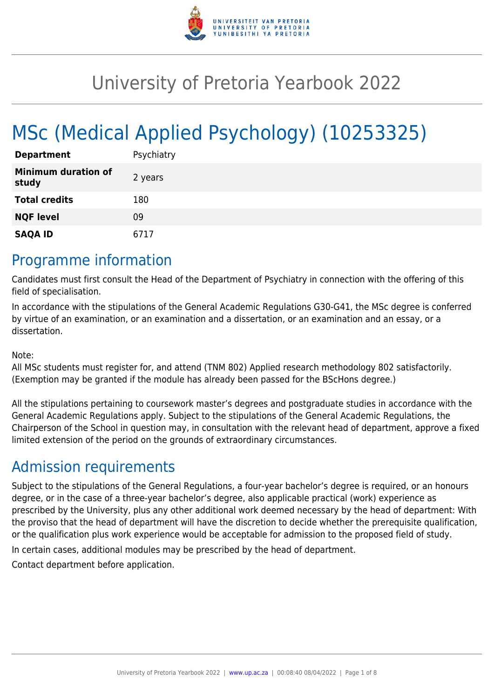

# University of Pretoria Yearbook 2022

# MSc (Medical Applied Psychology) (10253325)

| <b>Department</b>                   | Psychiatry |
|-------------------------------------|------------|
| <b>Minimum duration of</b><br>study | 2 years    |
| <b>Total credits</b>                | 180        |
| <b>NQF level</b>                    | 09         |
| <b>SAQA ID</b>                      | 6717       |

### Programme information

Candidates must first consult the Head of the Department of Psychiatry in connection with the offering of this field of specialisation.

In accordance with the stipulations of the General Academic Regulations G30-G41, the MSc degree is conferred by virtue of an examination, or an examination and a dissertation, or an examination and an essay, or a dissertation.

#### Note:

All MSc students must register for, and attend (TNM 802) Applied research methodology 802 satisfactorily. (Exemption may be granted if the module has already been passed for the BScHons degree.)

All the stipulations pertaining to coursework master's degrees and postgraduate studies in accordance with the General Academic Regulations apply. Subject to the stipulations of the General Academic Regulations, the Chairperson of the School in question may, in consultation with the relevant head of department, approve a fixed limited extension of the period on the grounds of extraordinary circumstances.

### Admission requirements

Subject to the stipulations of the General Regulations, a four-year bachelor's degree is required, or an honours degree, or in the case of a three-year bachelor's degree, also applicable practical (work) experience as prescribed by the University, plus any other additional work deemed necessary by the head of department: With the proviso that the head of department will have the discretion to decide whether the prerequisite qualification, or the qualification plus work experience would be acceptable for admission to the proposed field of study.

In certain cases, additional modules may be prescribed by the head of department.

Contact department before application.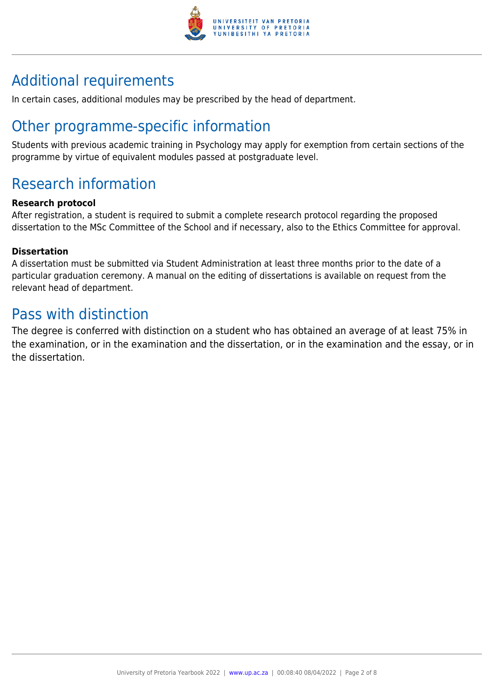

## Additional requirements

In certain cases, additional modules may be prescribed by the head of department.

## Other programme-specific information

Students with previous academic training in Psychology may apply for exemption from certain sections of the programme by virtue of equivalent modules passed at postgraduate level.

## Research information

#### **Research protocol**

After registration, a student is required to submit a complete research protocol regarding the proposed dissertation to the MSc Committee of the School and if necessary, also to the Ethics Committee for approval.

#### **Dissertation**

A dissertation must be submitted via Student Administration at least three months prior to the date of a particular graduation ceremony. A manual on the editing of dissertations is available on request from the relevant head of department.

### Pass with distinction

The degree is conferred with distinction on a student who has obtained an average of at least 75% in the examination, or in the examination and the dissertation, or in the examination and the essay, or in the dissertation.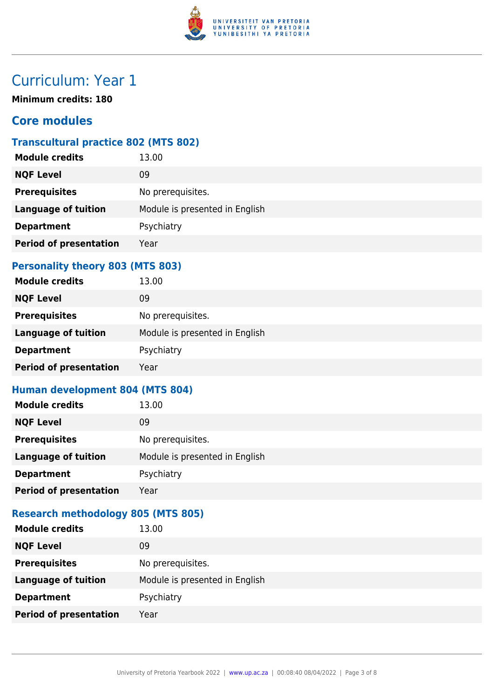

# Curriculum: Year 1

**Minimum credits: 180**

#### **Core modules**

#### **Transcultural practice 802 (MTS 802)**

| <b>Module credits</b>         | 13.00                          |
|-------------------------------|--------------------------------|
| <b>NQF Level</b>              | 09                             |
| <b>Prerequisites</b>          | No prerequisites.              |
| <b>Language of tuition</b>    | Module is presented in English |
| <b>Department</b>             | Psychiatry                     |
| <b>Period of presentation</b> | Year                           |
|                               |                                |

#### **Personality theory 803 (MTS 803)**

| <b>Module credits</b>         | 13.00                          |
|-------------------------------|--------------------------------|
| <b>NQF Level</b>              | 09                             |
| <b>Prerequisites</b>          | No prerequisites.              |
| <b>Language of tuition</b>    | Module is presented in English |
| <b>Department</b>             | Psychiatry                     |
| <b>Period of presentation</b> | Year                           |

#### **Human development 804 (MTS 804)**

| <b>Module credits</b>         | 13.00                          |
|-------------------------------|--------------------------------|
| <b>NQF Level</b>              | 09                             |
| <b>Prerequisites</b>          | No prerequisites.              |
| <b>Language of tuition</b>    | Module is presented in English |
| <b>Department</b>             | Psychiatry                     |
| <b>Period of presentation</b> | Year                           |

#### **Research methodology 805 (MTS 805)**

| <b>Module credits</b>         | 13.00                          |
|-------------------------------|--------------------------------|
| <b>NQF Level</b>              | 09                             |
| <b>Prerequisites</b>          | No prerequisites.              |
| <b>Language of tuition</b>    | Module is presented in English |
| <b>Department</b>             | Psychiatry                     |
| <b>Period of presentation</b> | Year                           |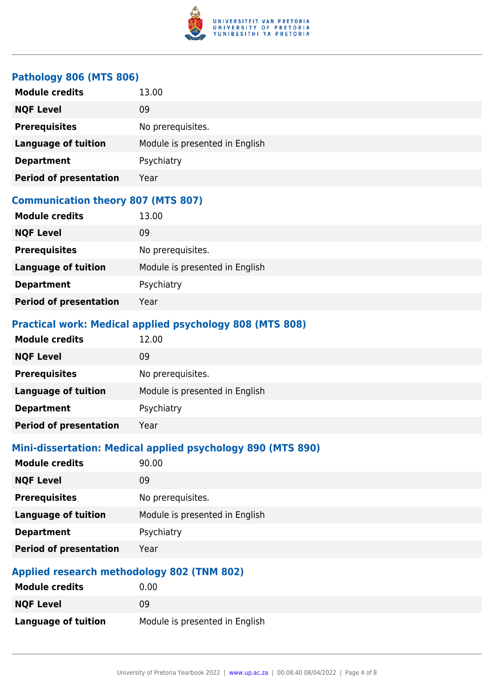

#### **Pathology 806 (MTS 806)**

| <b>Module credits</b>         | 13.00                          |
|-------------------------------|--------------------------------|
| <b>NQF Level</b>              | 09                             |
| <b>Prerequisites</b>          | No prerequisites.              |
| <b>Language of tuition</b>    | Module is presented in English |
| <b>Department</b>             | Psychiatry                     |
| <b>Period of presentation</b> | Year                           |

#### **Communication theory 807 (MTS 807)**

| <b>Module credits</b>         | 13.00                          |
|-------------------------------|--------------------------------|
| <b>NQF Level</b>              | 09                             |
| <b>Prerequisites</b>          | No prerequisites.              |
| <b>Language of tuition</b>    | Module is presented in English |
| <b>Department</b>             | Psychiatry                     |
| <b>Period of presentation</b> | Year                           |

#### **Practical work: Medical applied psychology 808 (MTS 808)**

| <b>Module credits</b>         | 12.00                          |
|-------------------------------|--------------------------------|
| <b>NQF Level</b>              | 09                             |
| <b>Prerequisites</b>          | No prerequisites.              |
| <b>Language of tuition</b>    | Module is presented in English |
| <b>Department</b>             | Psychiatry                     |
| <b>Period of presentation</b> | Year                           |

#### **Mini-dissertation: Medical applied psychology 890 (MTS 890)**

| <b>Module credits</b>         | 90.00                          |
|-------------------------------|--------------------------------|
| <b>NQF Level</b>              | 09                             |
| <b>Prerequisites</b>          | No prerequisites.              |
| <b>Language of tuition</b>    | Module is presented in English |
| <b>Department</b>             | Psychiatry                     |
| <b>Period of presentation</b> | Year                           |

#### **Applied research methodology 802 (TNM 802)**

| <b>Module credits</b>      | 0.00                           |
|----------------------------|--------------------------------|
| <b>NQF Level</b>           | 09                             |
| <b>Language of tuition</b> | Module is presented in English |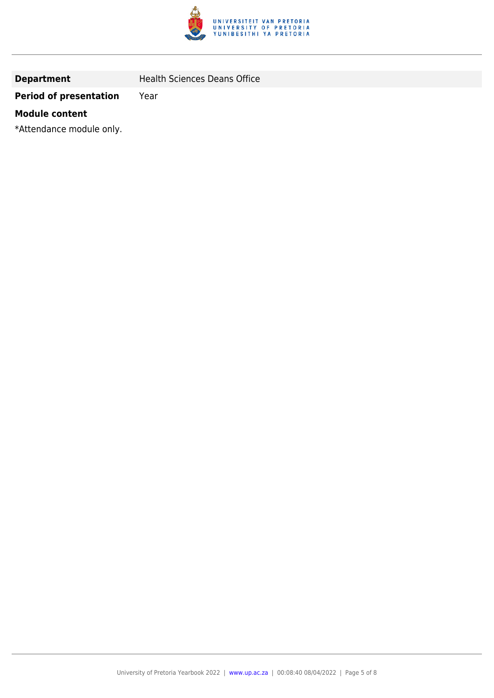

**Department** Health Sciences Deans Office

#### **Period of presentation** Year

#### **Module content**

\*Attendance module only.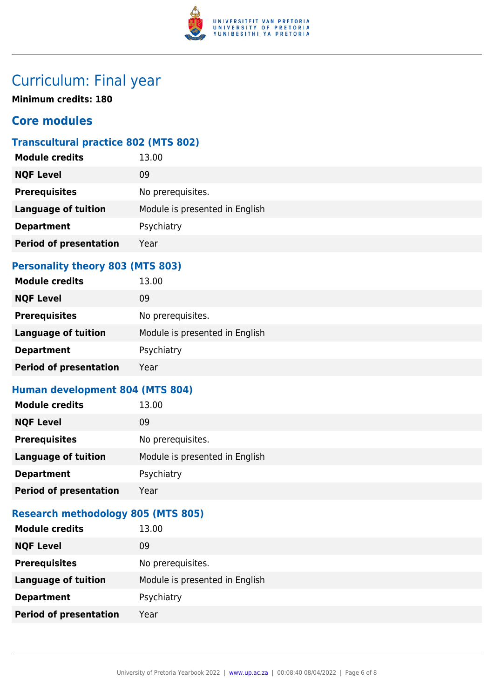

## Curriculum: Final year

**Minimum credits: 180**

#### **Core modules**

#### **Transcultural practice 802 (MTS 802)**

| <b>Module credits</b>         | 13.00                          |
|-------------------------------|--------------------------------|
| <b>NQF Level</b>              | 09                             |
| <b>Prerequisites</b>          | No prerequisites.              |
| <b>Language of tuition</b>    | Module is presented in English |
| <b>Department</b>             | Psychiatry                     |
| <b>Period of presentation</b> | Year                           |
|                               |                                |

#### **Personality theory 803 (MTS 803)**

| <b>Module credits</b>         | 13.00                          |
|-------------------------------|--------------------------------|
| <b>NQF Level</b>              | 09                             |
| <b>Prerequisites</b>          | No prerequisites.              |
| <b>Language of tuition</b>    | Module is presented in English |
| <b>Department</b>             | Psychiatry                     |
| <b>Period of presentation</b> | Year                           |

#### **Human development 804 (MTS 804)**

| <b>Module credits</b>         | 13.00                          |
|-------------------------------|--------------------------------|
| <b>NQF Level</b>              | 09                             |
| <b>Prerequisites</b>          | No prerequisites.              |
| <b>Language of tuition</b>    | Module is presented in English |
| <b>Department</b>             | Psychiatry                     |
| <b>Period of presentation</b> | Year                           |

#### **Research methodology 805 (MTS 805)**

| <b>Module credits</b>         | 13.00                          |
|-------------------------------|--------------------------------|
| <b>NQF Level</b>              | 09                             |
| <b>Prerequisites</b>          | No prerequisites.              |
| <b>Language of tuition</b>    | Module is presented in English |
| <b>Department</b>             | Psychiatry                     |
| <b>Period of presentation</b> | Year                           |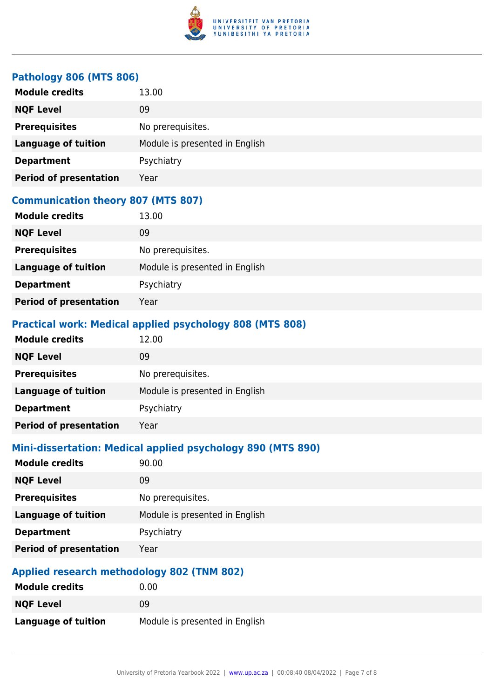

#### **Pathology 806 (MTS 806)**

| <b>Module credits</b>         | 13.00                          |
|-------------------------------|--------------------------------|
| <b>NQF Level</b>              | 09                             |
| <b>Prerequisites</b>          | No prerequisites.              |
| <b>Language of tuition</b>    | Module is presented in English |
| <b>Department</b>             | Psychiatry                     |
| <b>Period of presentation</b> | Year                           |

#### **Communication theory 807 (MTS 807)**

| <b>Module credits</b>         | 13.00                          |
|-------------------------------|--------------------------------|
| <b>NQF Level</b>              | 09                             |
| <b>Prerequisites</b>          | No prerequisites.              |
| <b>Language of tuition</b>    | Module is presented in English |
| <b>Department</b>             | Psychiatry                     |
| <b>Period of presentation</b> | Year                           |

#### **Practical work: Medical applied psychology 808 (MTS 808)**

| <b>Module credits</b>         | 12.00                          |
|-------------------------------|--------------------------------|
| <b>NQF Level</b>              | 09                             |
| <b>Prerequisites</b>          | No prerequisites.              |
| <b>Language of tuition</b>    | Module is presented in English |
| <b>Department</b>             | Psychiatry                     |
| <b>Period of presentation</b> | Year                           |

#### **Mini-dissertation: Medical applied psychology 890 (MTS 890)**

| <b>Module credits</b>         | 90.00                          |
|-------------------------------|--------------------------------|
| <b>NQF Level</b>              | 09                             |
| <b>Prerequisites</b>          | No prerequisites.              |
| <b>Language of tuition</b>    | Module is presented in English |
| <b>Department</b>             | Psychiatry                     |
| <b>Period of presentation</b> | Year                           |

#### **Applied research methodology 802 (TNM 802)**

| <b>Module credits</b>      | 0.00                           |
|----------------------------|--------------------------------|
| <b>NQF Level</b>           | 09                             |
| <b>Language of tuition</b> | Module is presented in English |